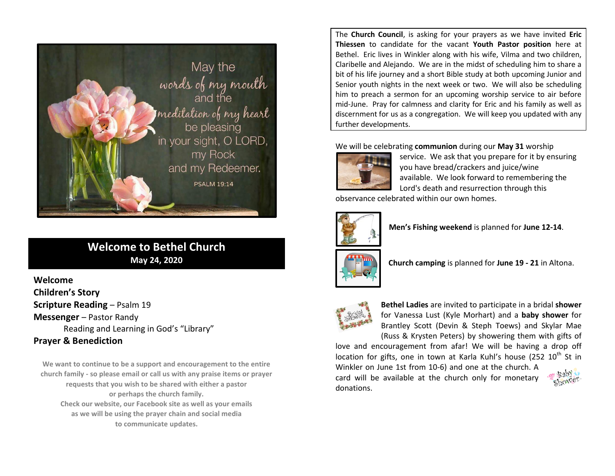

# **Welcome to Bethel Church May 24, 2020**

**Welcome Children's Story Scripture Reading - Psalm 19 Messenger** – Pastor Randy Reading and Learning in God's "Library" **Prayer & Benediction**

**We want to continue to be a support and encouragement to the entire church family - so please email or call us with any praise items or prayer requests that you wish to be shared with either a pastor or perhaps the church family. Check our website, our Facebook site as well as your emails as we will be using the prayer chain and social media to communicate updates.**

The **Church Council**, is asking for your prayers as we have invited **Eric Thiessen** to candidate for the vacant **Youth Pastor position** here at Bethel. Eric lives in Winkler along with his wife, Vilma and two children, Claribelle and Alejando. We are in the midst of scheduling him to share a bit of his life journey and a short Bible study at both upcoming Junior and Senior youth nights in the next week or two. We will also be scheduling him to preach a sermon for an upcoming worship service to air before mid-June. Pray for calmness and clarity for Eric and his family as well as discernment for us as a congregation. We will keep you updated with any further developments.

We will be celebrating **communion** during our **May 31** worship



service. We ask that you prepare for it by ensuring you have bread/crackers and juice/wine available. We look forward to remembering the Lord's death and resurrection through this

observance celebrated within our own homes.



**Men's Fishing weekend** is planned for **June 12-14**.



**Church camping** is planned for **June 19 - 21** in Altona.



**Bethel Ladies** are invited to participate in a bridal **shower** for Vanessa Lust (Kyle Morhart) and a **baby shower** for Brantley Scott (Devin & Steph Toews) and Skylar Mae (Russ & Krysten Peters) by showering them with gifts of

love and encouragement from afar! We will be having a drop off location for gifts, one in town at Karla Kuhl's house (252  $10^{th}$  St in

Winkler on June 1st from 10-6) and one at the church. A card will be available at the church only for monetary donations.